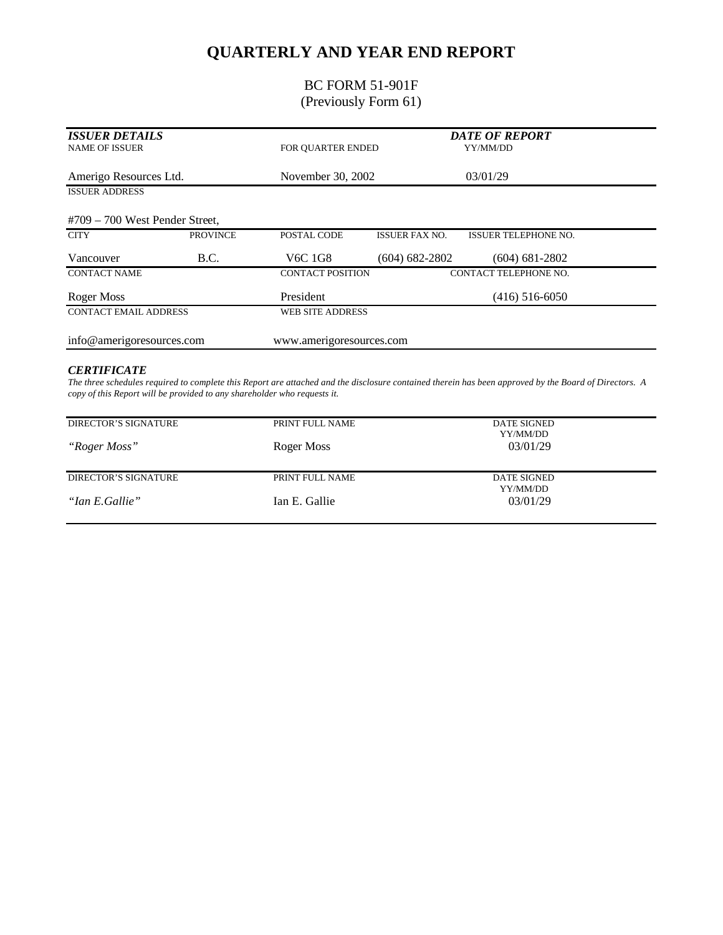# **QUARTERLY AND YEAR END REPORT**

### BC FORM 51-901F (Previously Form 61)

| <b>ISSUER DETAILS</b><br><b>NAME OF ISSUER</b> |                 | FOR OUARTER ENDED                            |                         | <b>DATE OF REPORT</b><br>YY/MM/DD |  |
|------------------------------------------------|-----------------|----------------------------------------------|-------------------------|-----------------------------------|--|
| Amerigo Resources Ltd.                         |                 | November 30, 2002                            |                         | 03/01/29                          |  |
| <b>ISSUER ADDRESS</b>                          |                 |                                              |                         |                                   |  |
| $#709 - 700$ West Pender Street,               |                 |                                              |                         |                                   |  |
| <b>CITY</b>                                    | <b>PROVINCE</b> | POSTAL CODE                                  | <b>ISSUER FAX NO.</b>   | <b>ISSUER TELEPHONE NO.</b>       |  |
| Vancouver                                      | B.C.            | V <sub>6</sub> C <sub>1</sub> G <sub>8</sub> | $(604) 682 - 2802$      | $(604)$ 681-2802                  |  |
| <b>CONTACT NAME</b>                            |                 | <b>CONTACT POSITION</b>                      |                         | CONTACT TELEPHONE NO.             |  |
| <b>Roger Moss</b>                              |                 | President                                    |                         | $(416)$ 516-6050                  |  |
| <b>CONTACT EMAIL ADDRESS</b>                   |                 |                                              | <b>WEB SITE ADDRESS</b> |                                   |  |
| info@amerigoresources.com                      |                 | www.amerigoresources.com                     |                         |                                   |  |

#### *CERTIFICATE*

*The three schedules required to complete this Report are attached and the disclosure contained therein has been approved by the Board of Directors. A copy of this Report will be provided to any shareholder who requests it.*

| DIRECTOR'S SIGNATURE | PRINT FULL NAME | <b>DATE SIGNED</b><br>YY/MM/DD |  |
|----------------------|-----------------|--------------------------------|--|
| "Roger Moss"         | Roger Moss      | 03/01/29                       |  |
| DIRECTOR'S SIGNATURE | PRINT FULL NAME | DATE SIGNED<br>YY/MM/DD        |  |
| "Ian E.Gallie"       | Ian E. Gallie   | 03/01/29                       |  |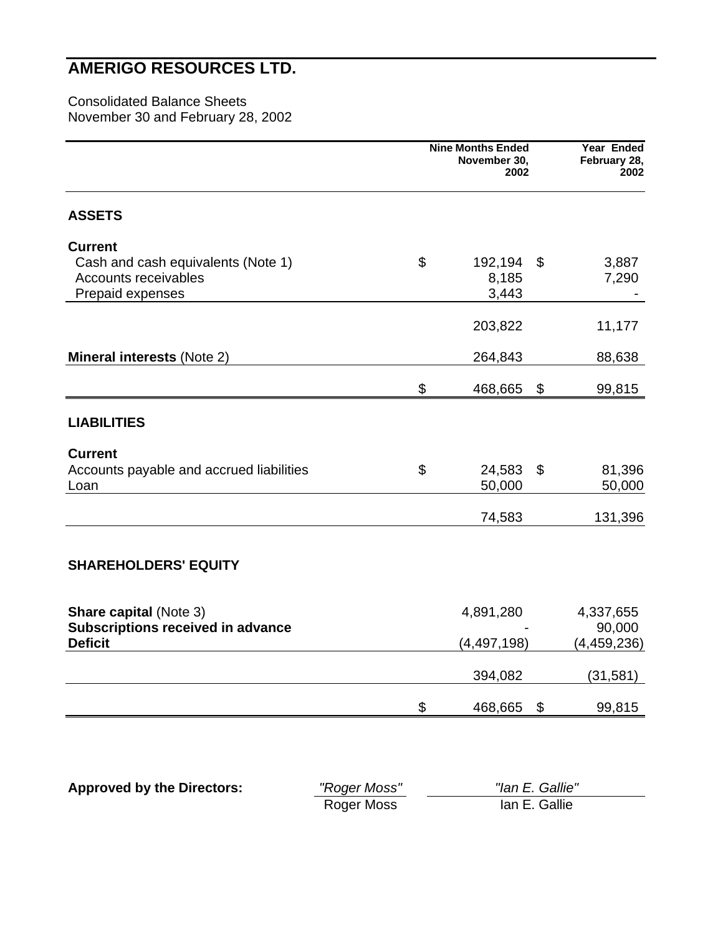### Consolidated Balance Sheets November 30 and February 28, 2002

|                                                                                                  | <b>Nine Months Ended</b><br>November 30,<br>2002 |                           |    | Year Ended<br>February 28,<br>2002   |
|--------------------------------------------------------------------------------------------------|--------------------------------------------------|---------------------------|----|--------------------------------------|
| <b>ASSETS</b>                                                                                    |                                                  |                           |    |                                      |
| <b>Current</b><br>Cash and cash equivalents (Note 1)<br>Accounts receivables<br>Prepaid expenses | \$                                               | 192,194<br>8,185<br>3,443 | \$ | 3,887<br>7,290                       |
|                                                                                                  |                                                  | 203,822                   |    | 11,177                               |
| <b>Mineral interests (Note 2)</b>                                                                |                                                  | 264,843                   |    | 88,638                               |
|                                                                                                  | \$                                               | 468,665                   | \$ | 99,815                               |
| <b>LIABILITIES</b>                                                                               |                                                  |                           |    |                                      |
| <b>Current</b><br>Accounts payable and accrued liabilities<br>Loan                               | \$                                               | 24,583<br>50,000          | \$ | 81,396<br>50,000                     |
|                                                                                                  |                                                  | 74,583                    |    | 131,396                              |
| <b>SHAREHOLDERS' EQUITY</b>                                                                      |                                                  |                           |    |                                      |
| <b>Share capital (Note 3)</b><br><b>Subscriptions received in advance</b><br><b>Deficit</b>      |                                                  | 4,891,280<br>(4,497,198)  |    | 4,337,655<br>90,000<br>(4, 459, 236) |
|                                                                                                  |                                                  | 394,082                   |    | (31, 581)                            |
|                                                                                                  | \$                                               | 468,665                   | \$ | 99,815                               |

| <b>Approved by the Directors:</b> | "Roger Moss" | "Ian E. Gallie" |  |
|-----------------------------------|--------------|-----------------|--|
|                                   | Roger Moss   | lan E. Gallie   |  |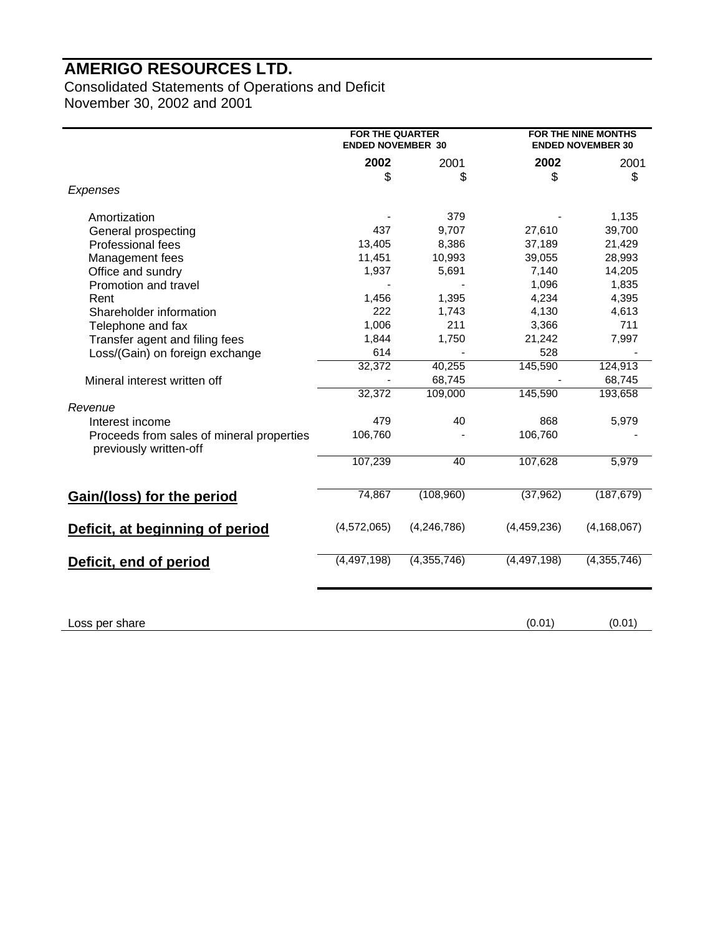Consolidated Statements of Operations and Deficit November 30, 2002 and 2001

|                                                                     | <b>FOR THE QUARTER</b><br><b>ENDED NOVEMBER 30</b> |                          |               | <b>FOR THE NINE MONTHS</b><br><b>ENDED NOVEMBER 30</b> |  |
|---------------------------------------------------------------------|----------------------------------------------------|--------------------------|---------------|--------------------------------------------------------|--|
|                                                                     | 2002                                               | 2001                     | 2002          | 2001                                                   |  |
|                                                                     | \$                                                 | \$                       | \$            | \$                                                     |  |
| Expenses                                                            |                                                    |                          |               |                                                        |  |
| Amortization                                                        |                                                    | 379                      |               | 1,135                                                  |  |
| General prospecting                                                 | 437                                                | 9,707                    | 27,610        | 39,700                                                 |  |
| <b>Professional fees</b>                                            | 13,405                                             | 8,386                    | 37,189        | 21,429                                                 |  |
| Management fees                                                     | 11,451                                             | 10,993                   | 39,055        | 28,993                                                 |  |
| Office and sundry                                                   | 1,937                                              | 5,691                    | 7,140         | 14,205                                                 |  |
| Promotion and travel                                                |                                                    |                          | 1,096         | 1,835                                                  |  |
| Rent                                                                | 1,456                                              | 1,395                    | 4,234         | 4,395                                                  |  |
| Shareholder information                                             | 222                                                | 1,743                    | 4,130         | 4,613                                                  |  |
| Telephone and fax                                                   | 1,006                                              | 211                      | 3,366         | 711                                                    |  |
| Transfer agent and filing fees                                      | 1,844                                              | 1,750                    | 21,242        | 7,997                                                  |  |
| Loss/(Gain) on foreign exchange                                     | 614                                                |                          | 528           |                                                        |  |
|                                                                     | 32,372                                             | 40,255                   | 145,590       | 124,913                                                |  |
| Mineral interest written off                                        |                                                    | 68,745                   |               | 68,745                                                 |  |
|                                                                     | 32,372                                             | 109,000                  | 145,590       | 193,658                                                |  |
| Revenue                                                             |                                                    |                          |               |                                                        |  |
| Interest income                                                     | 479                                                | 40                       | 868           | 5,979                                                  |  |
| Proceeds from sales of mineral properties<br>previously written-off | 106,760                                            |                          | 106,760       |                                                        |  |
|                                                                     | 107,239                                            | 40                       | 107,628       | 5,979                                                  |  |
| <b>Gain/(loss) for the period</b>                                   | 74,867                                             | (108,960)                | (37, 962)     | (187, 679)                                             |  |
| Deficit, at beginning of period                                     | (4,572,065)                                        | (4, 246, 786)            | (4,459,236)   | (4, 168, 067)                                          |  |
| Deficit, end of period                                              | (4, 497, 198)                                      | $\overline{(4,355,746)}$ | (4, 497, 198) | (4,355,746)                                            |  |
| Loss per share                                                      |                                                    |                          | (0.01)        | (0.01)                                                 |  |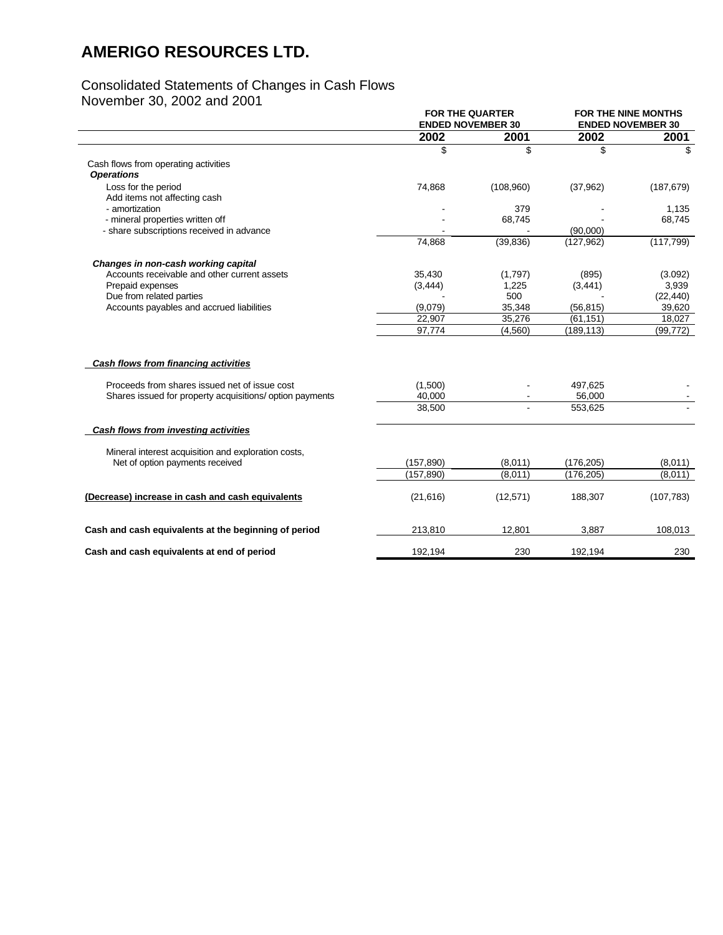## Consolidated Statements of Changes in Cash Flows

November 30, 2002 and 2001

| <b>FOR THE NINE MONTHS</b><br><b>ENDED NOVEMBER 30</b><br>2002 |  |
|----------------------------------------------------------------|--|
| 2001                                                           |  |
| \$                                                             |  |
|                                                                |  |
| (187, 679)                                                     |  |
| 1,135                                                          |  |
| 68,745                                                         |  |
|                                                                |  |
| (117, 799)                                                     |  |
|                                                                |  |
| (3.092)                                                        |  |
| 3,939                                                          |  |
| (22, 440)                                                      |  |
| 39,620                                                         |  |
| 18,027<br>(99, 772)                                            |  |
|                                                                |  |
|                                                                |  |
|                                                                |  |
|                                                                |  |
|                                                                |  |
|                                                                |  |
| (8,011)                                                        |  |
| (8,011)                                                        |  |
| (107, 783)                                                     |  |
| 108,013                                                        |  |
| 230                                                            |  |
|                                                                |  |